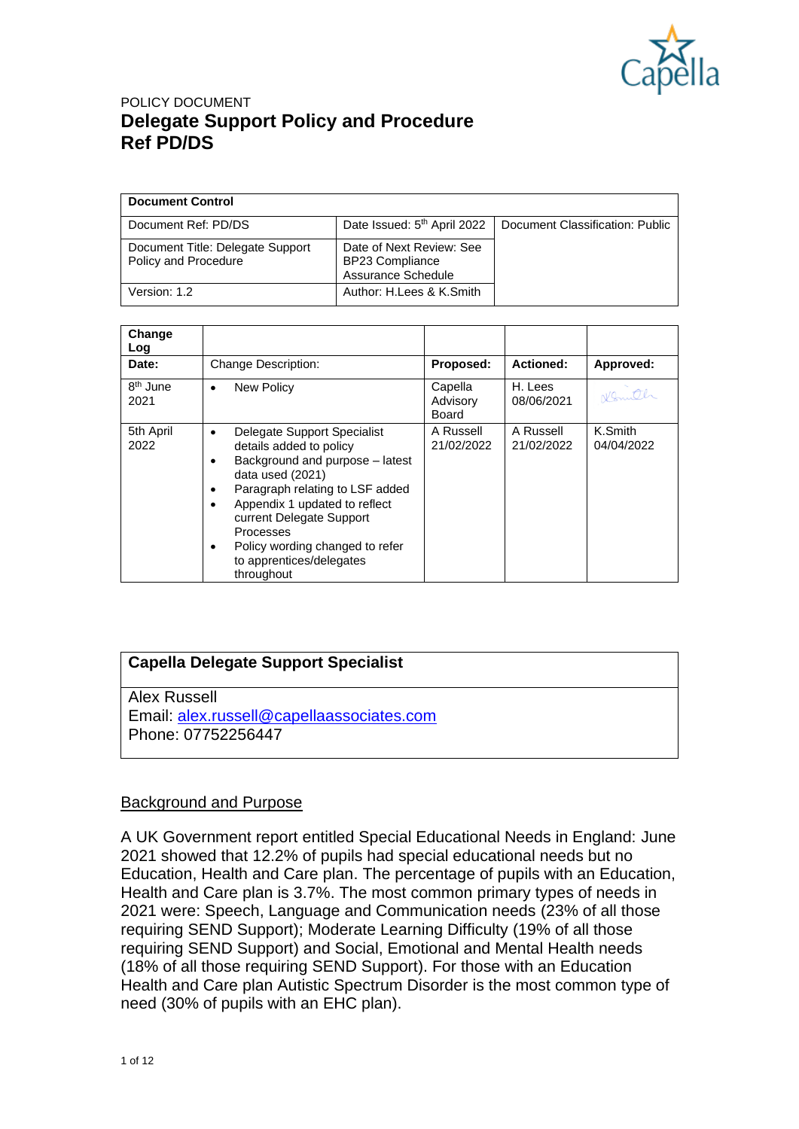

| <b>Document Control</b>                                  |                                                                          |                                 |
|----------------------------------------------------------|--------------------------------------------------------------------------|---------------------------------|
| Document Ref: PD/DS                                      | Date Issued: 5 <sup>th</sup> April 2022                                  | Document Classification: Public |
| Document Title: Delegate Support<br>Policy and Procedure | Date of Next Review: See<br><b>BP23 Compliance</b><br>Assurance Schedule |                                 |
| Version: 1.2                                             | Author: H.Lees & K.Smith                                                 |                                 |

| Change<br>Log                |                                                                                                                                                                                                                                                                                                              |                              |                         |                       |
|------------------------------|--------------------------------------------------------------------------------------------------------------------------------------------------------------------------------------------------------------------------------------------------------------------------------------------------------------|------------------------------|-------------------------|-----------------------|
| Date:                        | <b>Change Description:</b>                                                                                                                                                                                                                                                                                   | Proposed:                    | <b>Actioned:</b>        | Approved:             |
| 8 <sup>th</sup> June<br>2021 | New Policy<br>$\bullet$                                                                                                                                                                                                                                                                                      | Capella<br>Advisory<br>Board | H. Lees<br>08/06/2021   | Nomith                |
| 5th April<br>2022            | Delegate Support Specialist<br>details added to policy<br>Background and purpose - latest<br>data used (2021)<br>Paragraph relating to LSF added<br>٠<br>Appendix 1 updated to reflect<br>current Delegate Support<br>Processes<br>Policy wording changed to refer<br>to apprentices/delegates<br>throughout | A Russell<br>21/02/2022      | A Russell<br>21/02/2022 | K.Smith<br>04/04/2022 |

### **Capella Delegate Support Specialist**

Alex Russell Email: [alex.russell@capellaassociates.com](mailto:alex.russell@capellaassociates.com) Phone: 07752256447

#### Background and Purpose

A UK Government report entitled Special Educational Needs in England: June 2021 showed that 12.2% of pupils had special educational needs but no Education, Health and Care plan. The percentage of pupils with an Education, Health and Care plan is 3.7%. The most common primary types of needs in 2021 were: Speech, Language and Communication needs (23% of all those requiring SEND Support); Moderate Learning Difficulty (19% of all those requiring SEND Support) and Social, Emotional and Mental Health needs (18% of all those requiring SEND Support). For those with an Education Health and Care plan Autistic Spectrum Disorder is the most common type of need (30% of pupils with an EHC plan).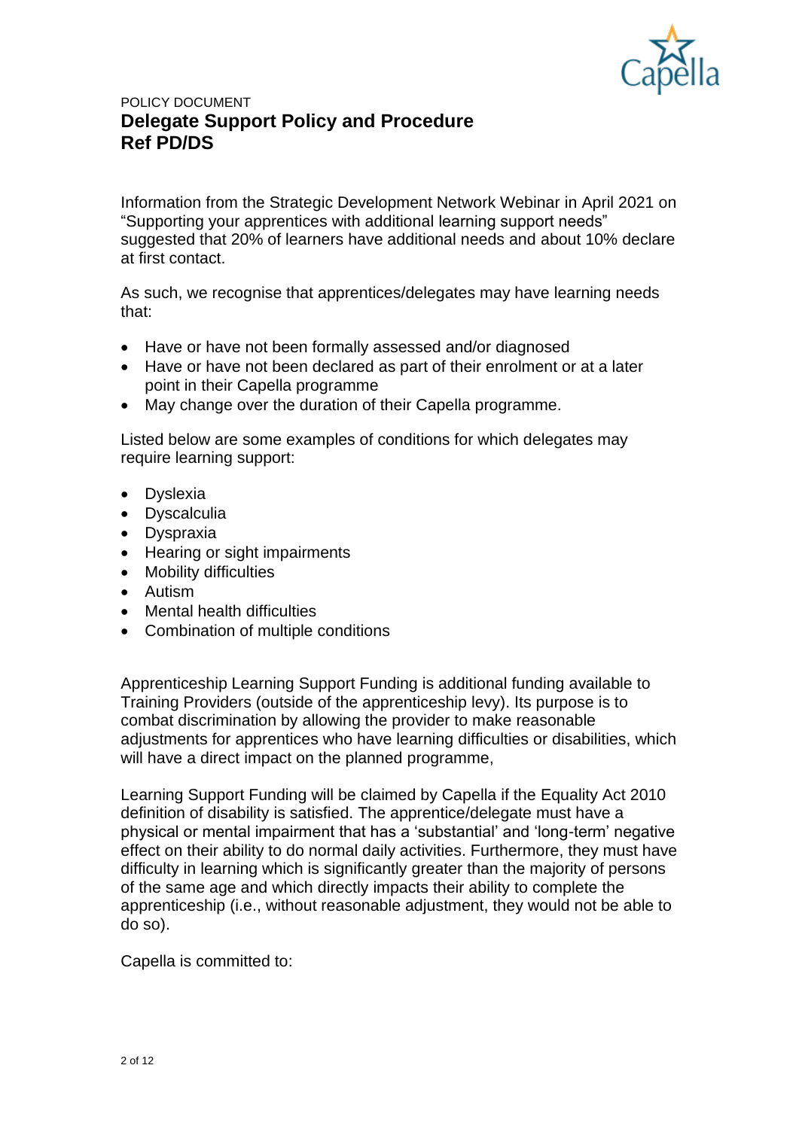

Information from the Strategic Development Network Webinar in April 2021 on "Supporting your apprentices with additional learning support needs" suggested that 20% of learners have additional needs and about 10% declare at first contact.

As such, we recognise that apprentices/delegates may have learning needs that:

- Have or have not been formally assessed and/or diagnosed
- Have or have not been declared as part of their enrolment or at a later point in their Capella programme
- May change over the duration of their Capella programme.

Listed below are some examples of conditions for which delegates may require learning support:

- Dyslexia
- Dyscalculia
- Dyspraxia
- Hearing or sight impairments
- Mobility difficulties
- Autism
- Mental health difficulties
- Combination of multiple conditions

Apprenticeship Learning Support Funding is additional funding available to Training Providers (outside of the apprenticeship levy). Its purpose is to combat discrimination by allowing the provider to make reasonable adjustments for apprentices who have learning difficulties or disabilities, which will have a direct impact on the planned programme.

Learning Support Funding will be claimed by Capella if the Equality Act 2010 definition of disability is satisfied. The apprentice/delegate must have a physical or mental impairment that has a 'substantial' and 'long-term' negative effect on their ability to do normal daily activities. Furthermore, they must have difficulty in learning which is significantly greater than the majority of persons of the same age and which directly impacts their ability to complete the apprenticeship (i.e., without reasonable adjustment, they would not be able to do so).

Capella is committed to: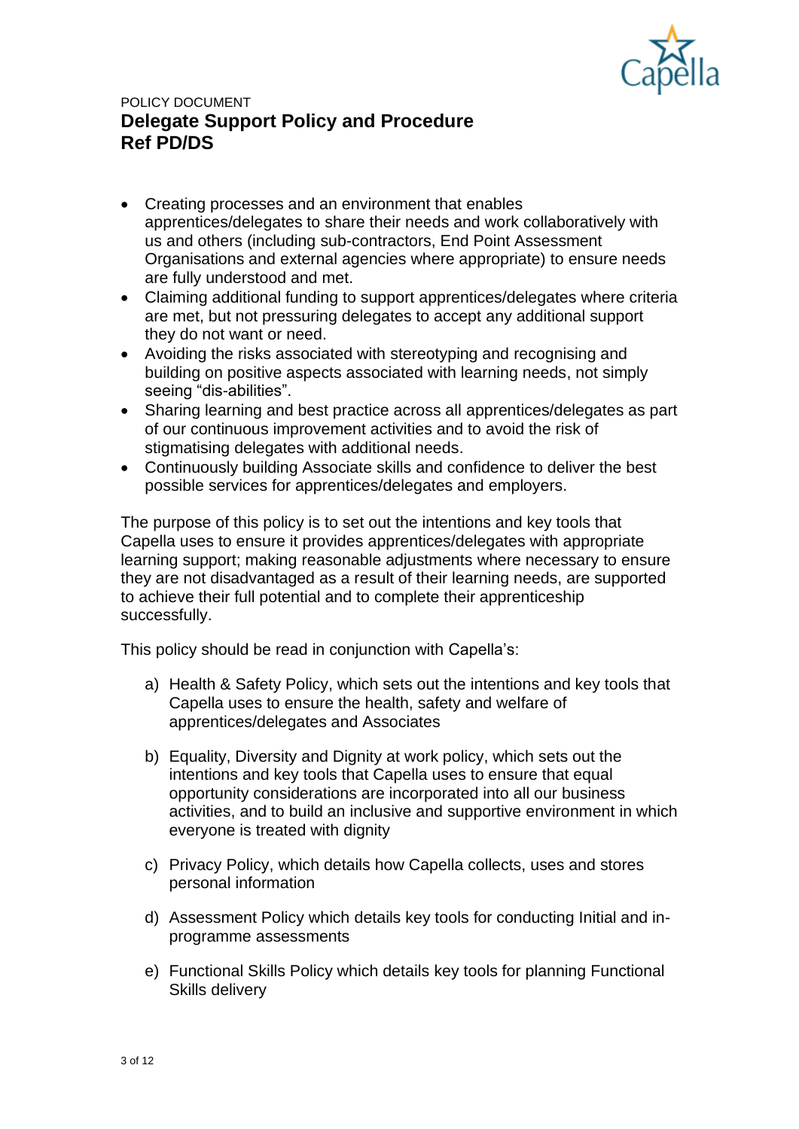

- Creating processes and an environment that enables apprentices/delegates to share their needs and work collaboratively with us and others (including sub-contractors, End Point Assessment Organisations and external agencies where appropriate) to ensure needs are fully understood and met.
- Claiming additional funding to support apprentices/delegates where criteria are met, but not pressuring delegates to accept any additional support they do not want or need.
- Avoiding the risks associated with stereotyping and recognising and building on positive aspects associated with learning needs, not simply seeing "dis-abilities".
- Sharing learning and best practice across all apprentices/delegates as part of our continuous improvement activities and to avoid the risk of stigmatising delegates with additional needs.
- Continuously building Associate skills and confidence to deliver the best possible services for apprentices/delegates and employers.

The purpose of this policy is to set out the intentions and key tools that Capella uses to ensure it provides apprentices/delegates with appropriate learning support; making reasonable adjustments where necessary to ensure they are not disadvantaged as a result of their learning needs, are supported to achieve their full potential and to complete their apprenticeship successfully.

This policy should be read in conjunction with Capella's:

- a) Health & Safety Policy, which sets out the intentions and key tools that Capella uses to ensure the health, safety and welfare of apprentices/delegates and Associates
- b) Equality, Diversity and Dignity at work policy, which sets out the intentions and key tools that Capella uses to ensure that equal opportunity considerations are incorporated into all our business activities, and to build an inclusive and supportive environment in which everyone is treated with dignity
- c) Privacy Policy, which details how Capella collects, uses and stores personal information
- d) Assessment Policy which details key tools for conducting Initial and inprogramme assessments
- e) Functional Skills Policy which details key tools for planning Functional Skills delivery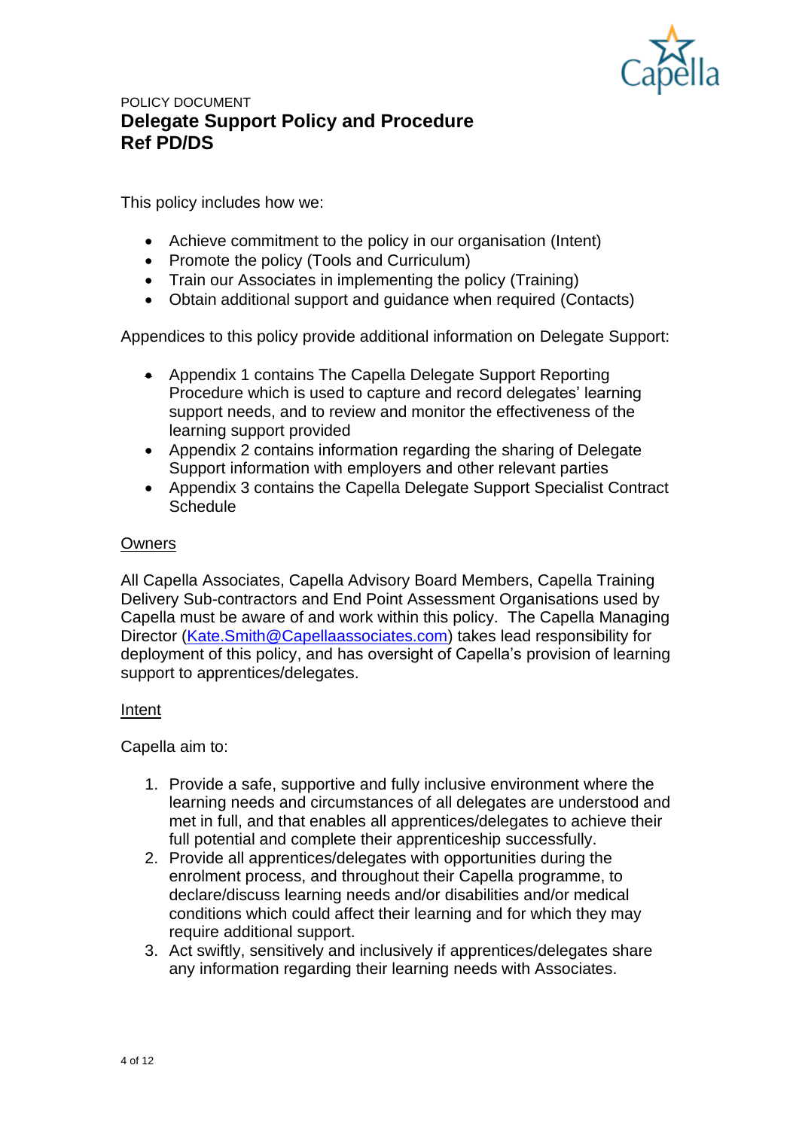

This policy includes how we:

- Achieve commitment to the policy in our organisation (Intent)
- Promote the policy (Tools and Curriculum)
- Train our Associates in implementing the policy (Training)
- Obtain additional support and guidance when required (Contacts)

Appendices to this policy provide additional information on Delegate Support:

- Appendix 1 contains The Capella Delegate Support Reporting Procedure which is used to capture and record delegates' learning support needs, and to review and monitor the effectiveness of the learning support provided
- Appendix 2 contains information regarding the sharing of Delegate Support information with employers and other relevant parties
- Appendix 3 contains the Capella Delegate Support Specialist Contract **Schedule**

### **Owners**

All Capella Associates, Capella Advisory Board Members, Capella Training Delivery Sub-contractors and End Point Assessment Organisations used by Capella must be aware of and work within this policy. The Capella Managing Director [\(Kate.Smith@Capellaassociates.com\)](mailto:Kate.Smith@Capellaassociates.com) takes lead responsibility for deployment of this policy, and has oversight of Capella's provision of learning support to apprentices/delegates.

### Intent

Capella aim to:

- 1. Provide a safe, supportive and fully inclusive environment where the learning needs and circumstances of all delegates are understood and met in full, and that enables all apprentices/delegates to achieve their full potential and complete their apprenticeship successfully.
- 2. Provide all apprentices/delegates with opportunities during the enrolment process, and throughout their Capella programme, to declare/discuss learning needs and/or disabilities and/or medical conditions which could affect their learning and for which they may require additional support.
- 3. Act swiftly, sensitively and inclusively if apprentices/delegates share any information regarding their learning needs with Associates.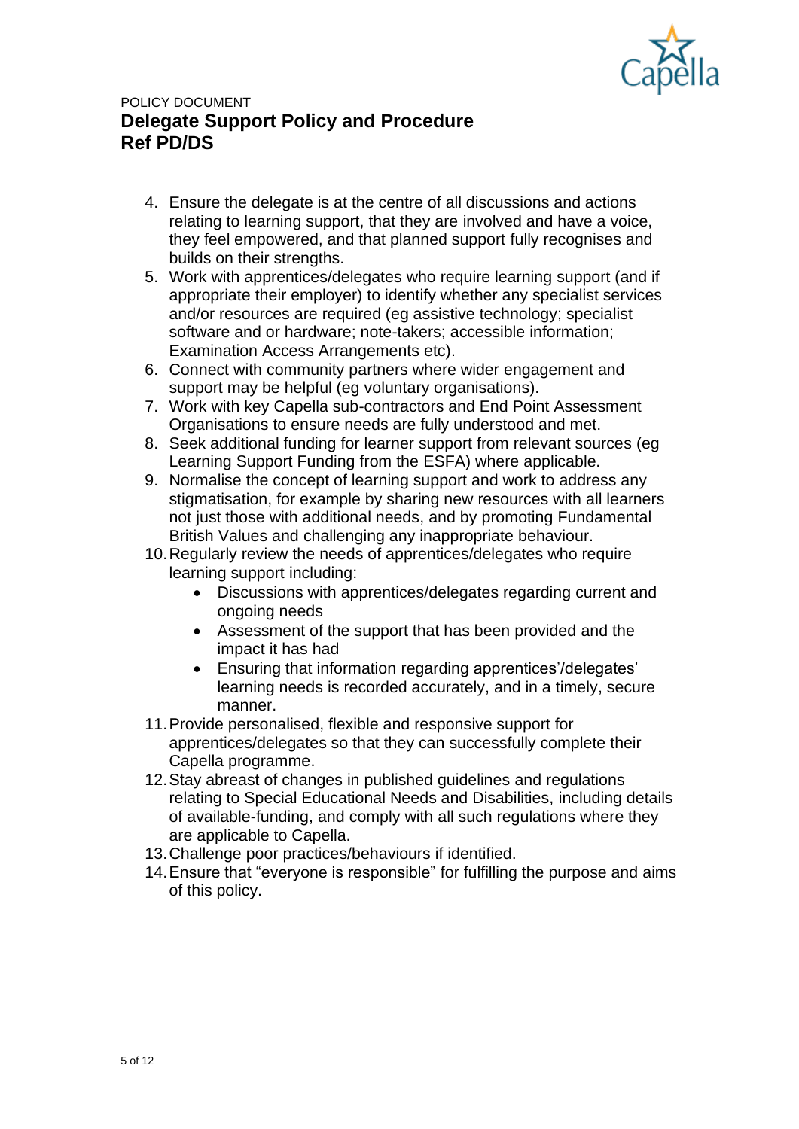

- 4. Ensure the delegate is at the centre of all discussions and actions relating to learning support, that they are involved and have a voice, they feel empowered, and that planned support fully recognises and builds on their strengths.
- 5. Work with apprentices/delegates who require learning support (and if appropriate their employer) to identify whether any specialist services and/or resources are required (eg assistive technology; specialist software and or hardware; note-takers; accessible information; Examination Access Arrangements etc).
- 6. Connect with community partners where wider engagement and support may be helpful (eg voluntary organisations).
- 7. Work with key Capella sub-contractors and End Point Assessment Organisations to ensure needs are fully understood and met.
- 8. Seek additional funding for learner support from relevant sources (eg Learning Support Funding from the ESFA) where applicable.
- 9. Normalise the concept of learning support and work to address any stigmatisation, for example by sharing new resources with all learners not just those with additional needs, and by promoting Fundamental British Values and challenging any inappropriate behaviour.
- 10.Regularly review the needs of apprentices/delegates who require learning support including:
	- Discussions with apprentices/delegates regarding current and ongoing needs
	- Assessment of the support that has been provided and the impact it has had
	- Ensuring that information regarding apprentices'/delegates' learning needs is recorded accurately, and in a timely, secure manner.
- 11.Provide personalised, flexible and responsive support for apprentices/delegates so that they can successfully complete their Capella programme.
- 12.Stay abreast of changes in published guidelines and regulations relating to Special Educational Needs and Disabilities, including details of available-funding, and comply with all such regulations where they are applicable to Capella.
- 13.Challenge poor practices/behaviours if identified.
- 14.Ensure that "everyone is responsible" for fulfilling the purpose and aims of this policy.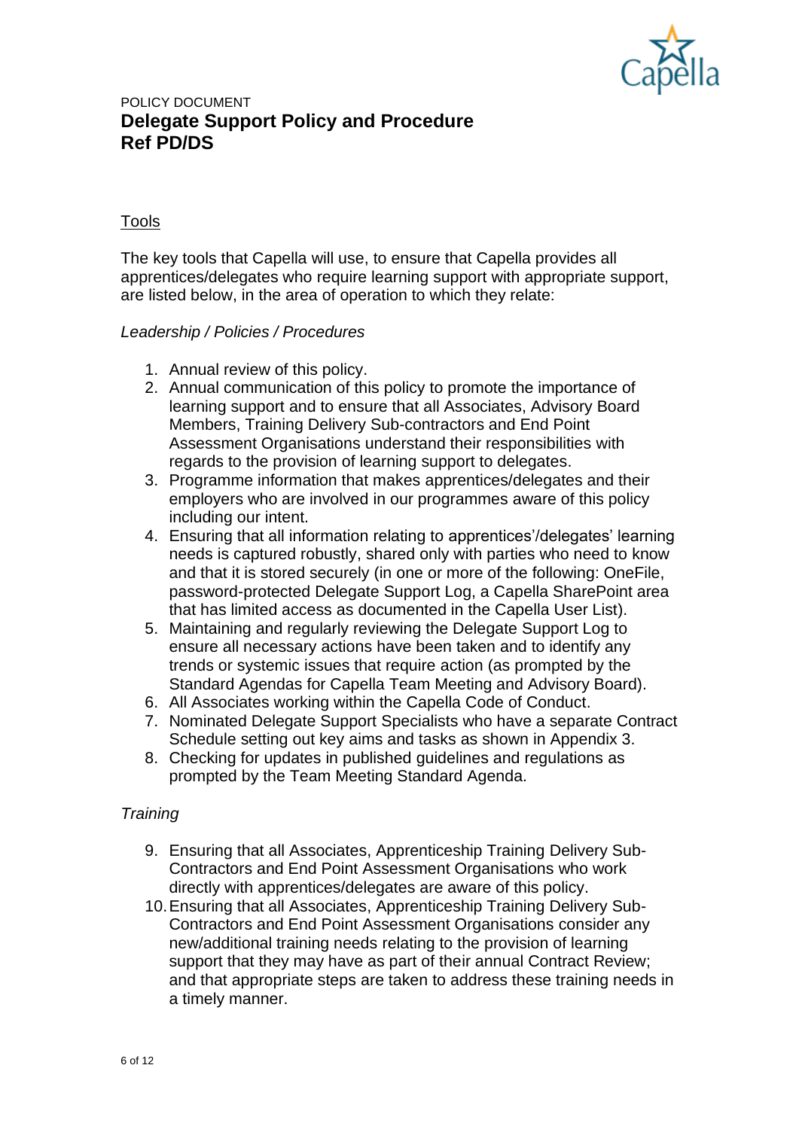

### Tools

The key tools that Capella will use, to ensure that Capella provides all apprentices/delegates who require learning support with appropriate support, are listed below, in the area of operation to which they relate:

### *Leadership / Policies / Procedures*

- 1. Annual review of this policy.
- 2. Annual communication of this policy to promote the importance of learning support and to ensure that all Associates, Advisory Board Members, Training Delivery Sub-contractors and End Point Assessment Organisations understand their responsibilities with regards to the provision of learning support to delegates.
- 3. Programme information that makes apprentices/delegates and their employers who are involved in our programmes aware of this policy including our intent.
- 4. Ensuring that all information relating to apprentices'/delegates' learning needs is captured robustly, shared only with parties who need to know and that it is stored securely (in one or more of the following: OneFile, password-protected Delegate Support Log, a Capella SharePoint area that has limited access as documented in the Capella User List).
- 5. Maintaining and regularly reviewing the Delegate Support Log to ensure all necessary actions have been taken and to identify any trends or systemic issues that require action (as prompted by the Standard Agendas for Capella Team Meeting and Advisory Board).
- 6. All Associates working within the Capella Code of Conduct.
- 7. Nominated Delegate Support Specialists who have a separate Contract Schedule setting out key aims and tasks as shown in Appendix 3.
- 8. Checking for updates in published guidelines and regulations as prompted by the Team Meeting Standard Agenda.

#### *Training*

- 9. Ensuring that all Associates, Apprenticeship Training Delivery Sub-Contractors and End Point Assessment Organisations who work directly with apprentices/delegates are aware of this policy.
- 10.Ensuring that all Associates, Apprenticeship Training Delivery Sub-Contractors and End Point Assessment Organisations consider any new/additional training needs relating to the provision of learning support that they may have as part of their annual Contract Review; and that appropriate steps are taken to address these training needs in a timely manner.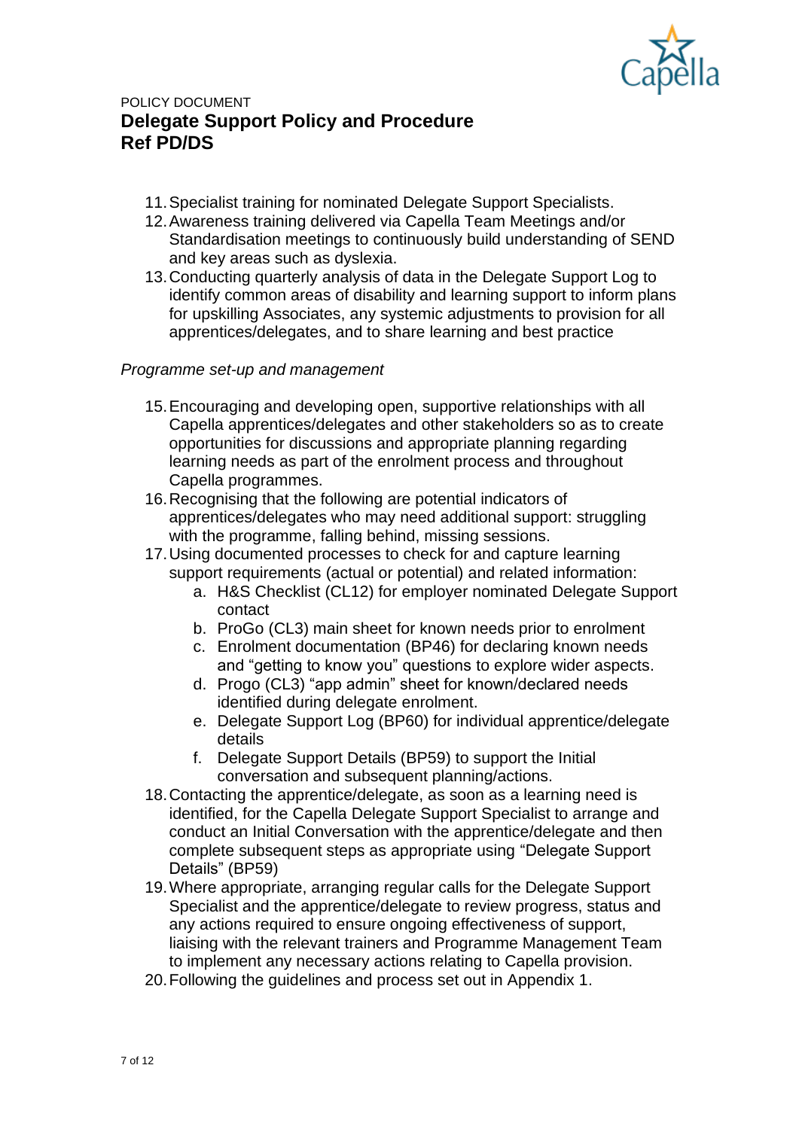

- 11.Specialist training for nominated Delegate Support Specialists.
- 12.Awareness training delivered via Capella Team Meetings and/or Standardisation meetings to continuously build understanding of SEND and key areas such as dyslexia.
- 13.Conducting quarterly analysis of data in the Delegate Support Log to identify common areas of disability and learning support to inform plans for upskilling Associates, any systemic adjustments to provision for all apprentices/delegates, and to share learning and best practice

### *Programme set-up and management*

- 15.Encouraging and developing open, supportive relationships with all Capella apprentices/delegates and other stakeholders so as to create opportunities for discussions and appropriate planning regarding learning needs as part of the enrolment process and throughout Capella programmes.
- 16.Recognising that the following are potential indicators of apprentices/delegates who may need additional support: struggling with the programme, falling behind, missing sessions.
- 17.Using documented processes to check for and capture learning support requirements (actual or potential) and related information:
	- a. H&S Checklist (CL12) for employer nominated Delegate Support contact
	- b. ProGo (CL3) main sheet for known needs prior to enrolment
	- c. Enrolment documentation (BP46) for declaring known needs and "getting to know you" questions to explore wider aspects.
	- d. Progo (CL3) "app admin" sheet for known/declared needs identified during delegate enrolment.
	- e. Delegate Support Log (BP60) for individual apprentice/delegate details
	- f. Delegate Support Details (BP59) to support the Initial conversation and subsequent planning/actions.
- 18.Contacting the apprentice/delegate, as soon as a learning need is identified, for the Capella Delegate Support Specialist to arrange and conduct an Initial Conversation with the apprentice/delegate and then complete subsequent steps as appropriate using "Delegate Support Details" (BP59)
- 19.Where appropriate, arranging regular calls for the Delegate Support Specialist and the apprentice/delegate to review progress, status and any actions required to ensure ongoing effectiveness of support, liaising with the relevant trainers and Programme Management Team to implement any necessary actions relating to Capella provision.
- 20.Following the guidelines and process set out in Appendix 1.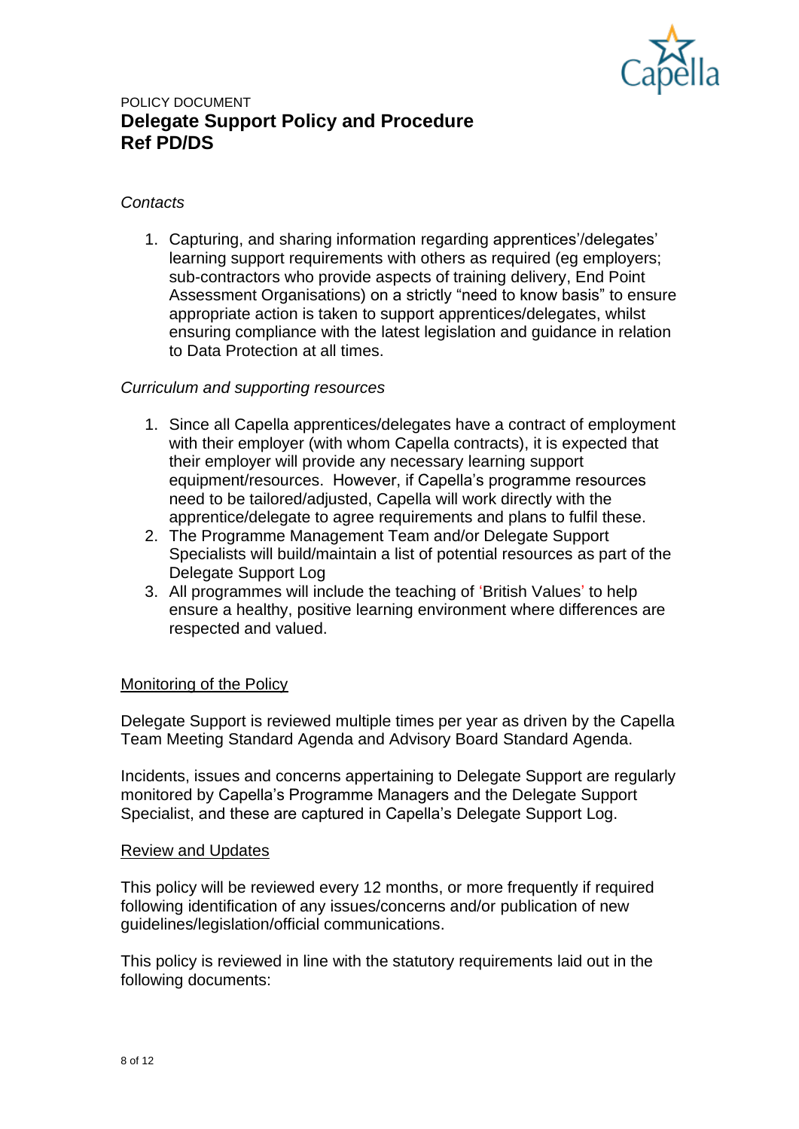

#### *Contacts*

1. Capturing, and sharing information regarding apprentices'/delegates' learning support requirements with others as required (eg employers; sub-contractors who provide aspects of training delivery, End Point Assessment Organisations) on a strictly "need to know basis" to ensure appropriate action is taken to support apprentices/delegates, whilst ensuring compliance with the latest legislation and guidance in relation to Data Protection at all times.

#### *Curriculum and supporting resources*

- 1. Since all Capella apprentices/delegates have a contract of employment with their employer (with whom Capella contracts), it is expected that their employer will provide any necessary learning support equipment/resources. However, if Capella's programme resources need to be tailored/adjusted, Capella will work directly with the apprentice/delegate to agree requirements and plans to fulfil these.
- 2. The Programme Management Team and/or Delegate Support Specialists will build/maintain a list of potential resources as part of the Delegate Support Log
- 3. All programmes will include the teaching of 'British Values' to help ensure a healthy, positive learning environment where differences are respected and valued.

#### Monitoring of the Policy

Delegate Support is reviewed multiple times per year as driven by the Capella Team Meeting Standard Agenda and Advisory Board Standard Agenda.

Incidents, issues and concerns appertaining to Delegate Support are regularly monitored by Capella's Programme Managers and the Delegate Support Specialist, and these are captured in Capella's Delegate Support Log.

#### Review and Updates

This policy will be reviewed every 12 months, or more frequently if required following identification of any issues/concerns and/or publication of new guidelines/legislation/official communications.

This policy is reviewed in line with the statutory requirements laid out in the following documents: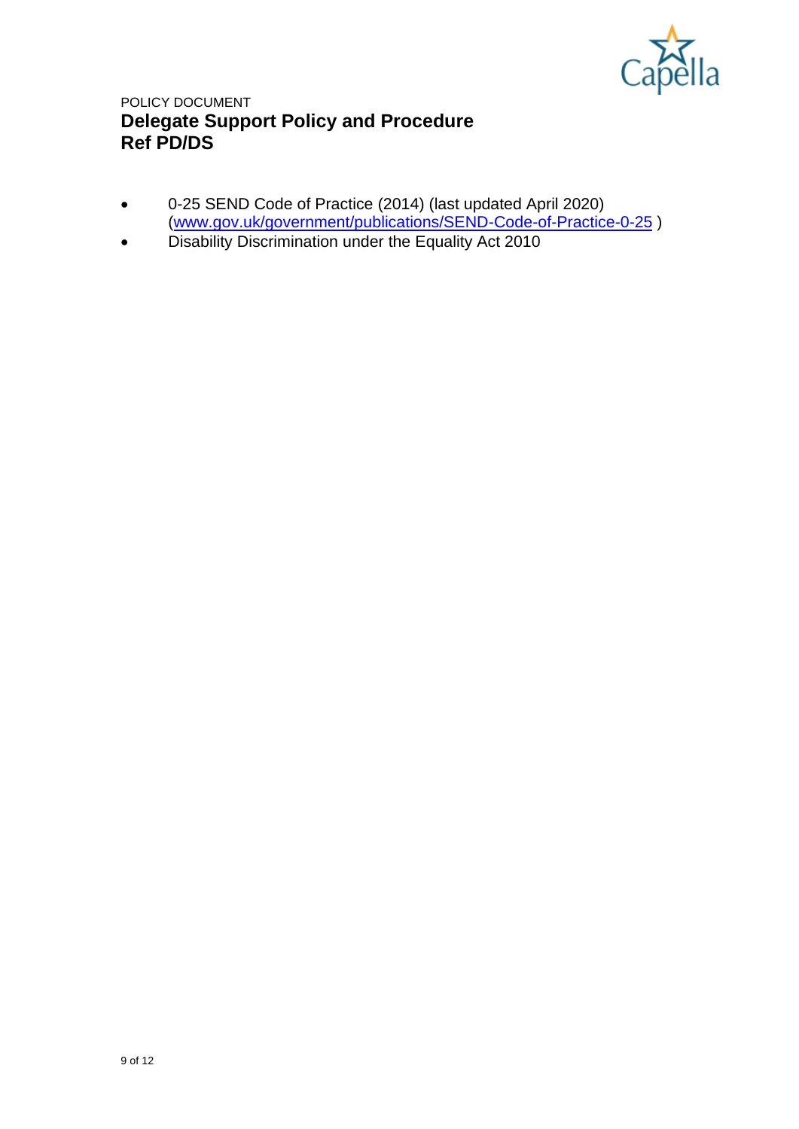

- 0-25 SEND Code of Practice (2014) (last updated April 2020) [\(www.gov.uk/government/publications/SEND-Code-of-Practice-0-25](http://www.gov.uk/government/publications/SEND-Code-of-Practice-0-25) )
- Disability Discrimination under the Equality Act 2010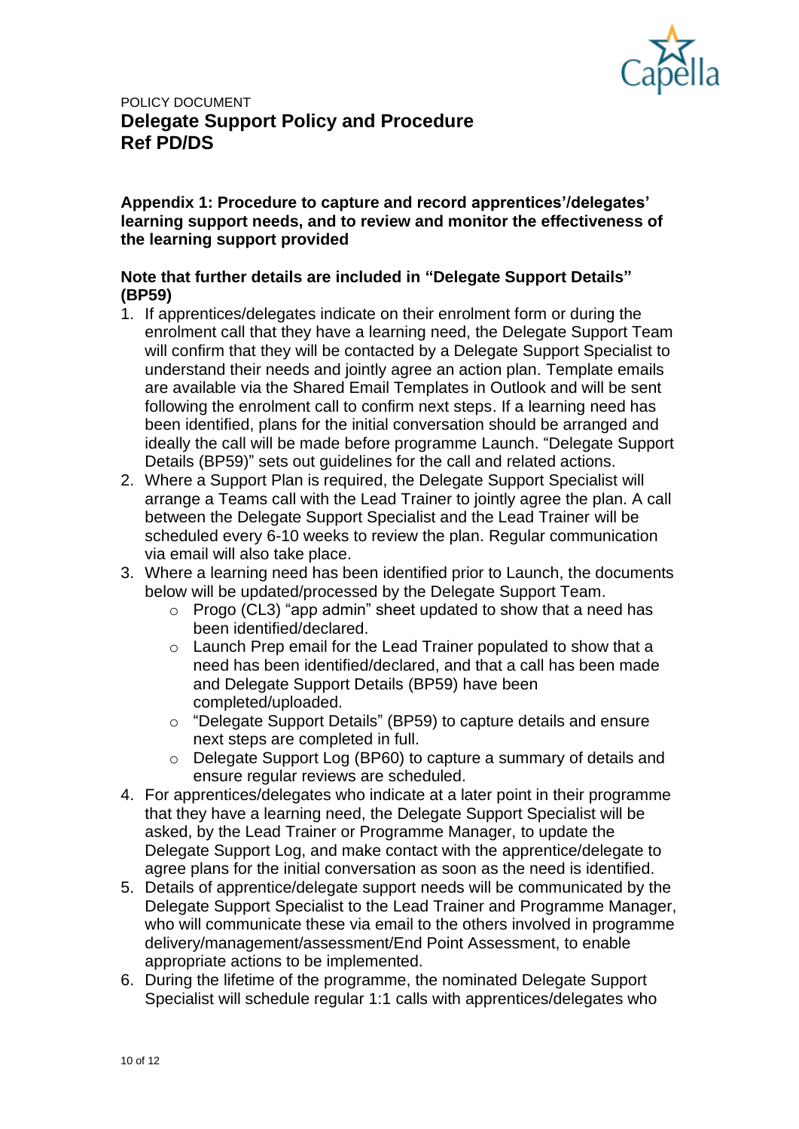

**Appendix 1: Procedure to capture and record apprentices'/delegates' learning support needs, and to review and monitor the effectiveness of the learning support provided**

### **Note that further details are included in "Delegate Support Details" (BP59)**

- 1. If apprentices/delegates indicate on their enrolment form or during the enrolment call that they have a learning need, the Delegate Support Team will confirm that they will be contacted by a Delegate Support Specialist to understand their needs and jointly agree an action plan. Template emails are available via the Shared Email Templates in Outlook and will be sent following the enrolment call to confirm next steps. If a learning need has been identified, plans for the initial conversation should be arranged and ideally the call will be made before programme Launch. "Delegate Support Details (BP59)" sets out guidelines for the call and related actions.
- 2. Where a Support Plan is required, the Delegate Support Specialist will arrange a Teams call with the Lead Trainer to jointly agree the plan. A call between the Delegate Support Specialist and the Lead Trainer will be scheduled every 6-10 weeks to review the plan. Regular communication via email will also take place.
- 3. Where a learning need has been identified prior to Launch, the documents below will be updated/processed by the Delegate Support Team.
	- o Progo (CL3) "app admin" sheet updated to show that a need has been identified/declared.
	- o Launch Prep email for the Lead Trainer populated to show that a need has been identified/declared, and that a call has been made and Delegate Support Details (BP59) have been completed/uploaded.
	- o "Delegate Support Details" (BP59) to capture details and ensure next steps are completed in full.
	- o Delegate Support Log (BP60) to capture a summary of details and ensure regular reviews are scheduled.
- 4. For apprentices/delegates who indicate at a later point in their programme that they have a learning need, the Delegate Support Specialist will be asked, by the Lead Trainer or Programme Manager, to update the Delegate Support Log, and make contact with the apprentice/delegate to agree plans for the initial conversation as soon as the need is identified.
- 5. Details of apprentice/delegate support needs will be communicated by the Delegate Support Specialist to the Lead Trainer and Programme Manager, who will communicate these via email to the others involved in programme delivery/management/assessment/End Point Assessment, to enable appropriate actions to be implemented.
- 6. During the lifetime of the programme, the nominated Delegate Support Specialist will schedule regular 1:1 calls with apprentices/delegates who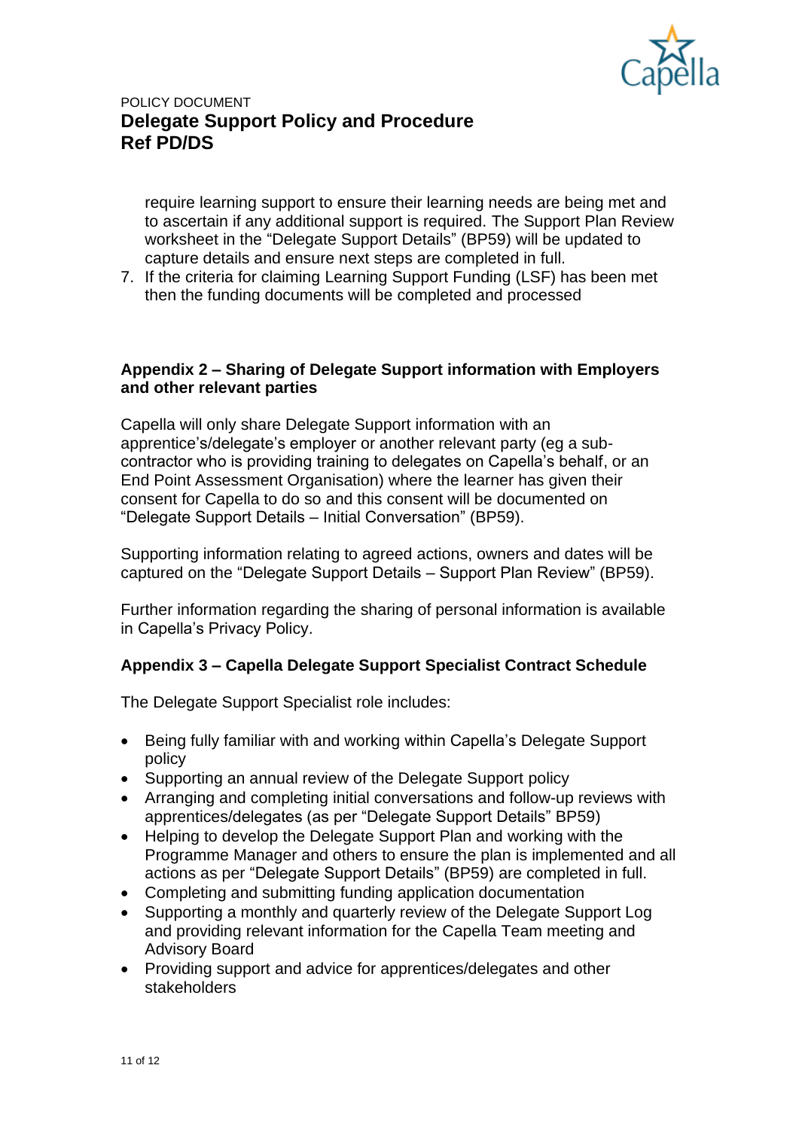

require learning support to ensure their learning needs are being met and to ascertain if any additional support is required. The Support Plan Review worksheet in the "Delegate Support Details" (BP59) will be updated to capture details and ensure next steps are completed in full.

7. If the criteria for claiming Learning Support Funding (LSF) has been met then the funding documents will be completed and processed

### **Appendix 2 – Sharing of Delegate Support information with Employers and other relevant parties**

Capella will only share Delegate Support information with an apprentice's/delegate's employer or another relevant party (eg a subcontractor who is providing training to delegates on Capella's behalf, or an End Point Assessment Organisation) where the learner has given their consent for Capella to do so and this consent will be documented on "Delegate Support Details – Initial Conversation" (BP59).

Supporting information relating to agreed actions, owners and dates will be captured on the "Delegate Support Details – Support Plan Review" (BP59).

Further information regarding the sharing of personal information is available in Capella's Privacy Policy.

### **Appendix 3 – Capella Delegate Support Specialist Contract Schedule**

The Delegate Support Specialist role includes:

- Being fully familiar with and working within Capella's Delegate Support policy
- Supporting an annual review of the Delegate Support policy
- Arranging and completing initial conversations and follow-up reviews with apprentices/delegates (as per "Delegate Support Details" BP59)
- Helping to develop the Delegate Support Plan and working with the Programme Manager and others to ensure the plan is implemented and all actions as per "Delegate Support Details" (BP59) are completed in full.
- Completing and submitting funding application documentation
- Supporting a monthly and quarterly review of the Delegate Support Log and providing relevant information for the Capella Team meeting and Advisory Board
- Providing support and advice for apprentices/delegates and other stakeholders